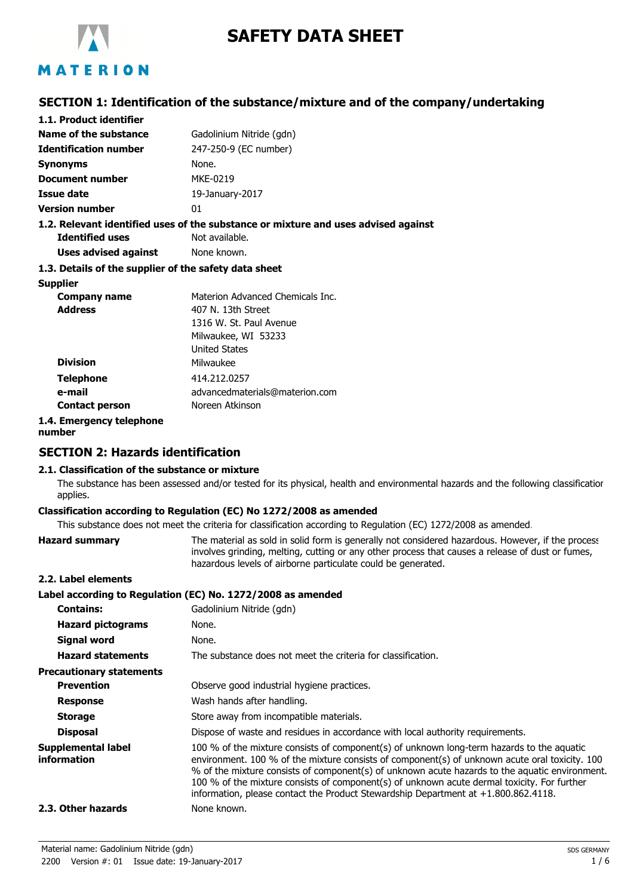

# **SAFETY DATA SHEET**

# **SECTION 1: Identification of the substance/mixture and of the company/undertaking**

| 1.1. Product identifier                                                            |                                  |  |
|------------------------------------------------------------------------------------|----------------------------------|--|
| Name of the substance                                                              | Gadolinium Nitride (gdn)         |  |
| <b>Identification number</b>                                                       | 247-250-9 (EC number)            |  |
| <b>Synonyms</b>                                                                    | None.                            |  |
| <b>Document number</b>                                                             | MKE-0219                         |  |
| Issue date                                                                         | 19-January-2017                  |  |
| <b>Version number</b>                                                              | 01                               |  |
| 1.2. Relevant identified uses of the substance or mixture and uses advised against |                                  |  |
| Identified uses                                                                    | Not available.                   |  |
| <b>Uses advised against</b> None known.                                            |                                  |  |
| 1.3. Details of the supplier of the safety data sheet                              |                                  |  |
| <b>Supplier</b>                                                                    |                                  |  |
| Company name                                                                       | Materion Advanced Chemicals Inc. |  |
| <b>Address</b>                                                                     | 407 N. 13th Street               |  |
|                                                                                    | 1316 W. St. Paul Avenue          |  |

|                       | Milwaukee, WI 53233            |
|-----------------------|--------------------------------|
|                       | <b>United States</b>           |
| <b>Division</b>       | Milwaukee                      |
| <b>Telephone</b>      | 414.212.0257                   |
| e-mail                | advancedmaterials@materion.com |
| <b>Contact person</b> | Noreen Atkinson                |
| 1 Emarganau talanhana |                                |

```
1.4. Emergency telephone
number
```
# **SECTION 2: Hazards identification**

#### **2.1. Classification of the substance or mixture**

The substance has been assessed and/or tested for its physical, health and environmental hazards and the following classification applies.

#### **Classification according to Regulation (EC) No 1272/2008 as amended**

This substance does not meet the criteria for classification according to Regulation (EC) 1272/2008 as amended.

|                                          | This substance abes not meet the chiena for classification according to requidition (EC) 1272/2000 as unichaca                                                                                                                                                                                                                                                                                                                                                                     |
|------------------------------------------|------------------------------------------------------------------------------------------------------------------------------------------------------------------------------------------------------------------------------------------------------------------------------------------------------------------------------------------------------------------------------------------------------------------------------------------------------------------------------------|
| <b>Hazard summary</b>                    | The material as sold in solid form is generally not considered hazardous. However, if the process<br>involves grinding, melting, cutting or any other process that causes a release of dust or fumes,<br>hazardous levels of airborne particulate could be generated.                                                                                                                                                                                                              |
| 2.2. Label elements                      |                                                                                                                                                                                                                                                                                                                                                                                                                                                                                    |
|                                          | Label according to Regulation (EC) No. 1272/2008 as amended                                                                                                                                                                                                                                                                                                                                                                                                                        |
| <b>Contains:</b>                         | Gadolinium Nitride (gdn)                                                                                                                                                                                                                                                                                                                                                                                                                                                           |
| <b>Hazard pictograms</b>                 | None.                                                                                                                                                                                                                                                                                                                                                                                                                                                                              |
| Signal word                              | None.                                                                                                                                                                                                                                                                                                                                                                                                                                                                              |
| <b>Hazard statements</b>                 | The substance does not meet the criteria for classification.                                                                                                                                                                                                                                                                                                                                                                                                                       |
| <b>Precautionary statements</b>          |                                                                                                                                                                                                                                                                                                                                                                                                                                                                                    |
| <b>Prevention</b>                        | Observe good industrial hygiene practices.                                                                                                                                                                                                                                                                                                                                                                                                                                         |
| <b>Response</b>                          | Wash hands after handling.                                                                                                                                                                                                                                                                                                                                                                                                                                                         |
| <b>Storage</b>                           | Store away from incompatible materials.                                                                                                                                                                                                                                                                                                                                                                                                                                            |
| <b>Disposal</b>                          | Dispose of waste and residues in accordance with local authority requirements.                                                                                                                                                                                                                                                                                                                                                                                                     |
| <b>Supplemental label</b><br>information | 100 % of the mixture consists of component(s) of unknown long-term hazards to the aquatic<br>environment. 100 % of the mixture consists of component(s) of unknown acute oral toxicity. 100<br>% of the mixture consists of component(s) of unknown acute hazards to the aquatic environment.<br>100 % of the mixture consists of component(s) of unknown acute dermal toxicity. For further<br>information, please contact the Product Stewardship Department at +1.800.862.4118. |
| 2.3. Other hazards                       | None known.                                                                                                                                                                                                                                                                                                                                                                                                                                                                        |
|                                          |                                                                                                                                                                                                                                                                                                                                                                                                                                                                                    |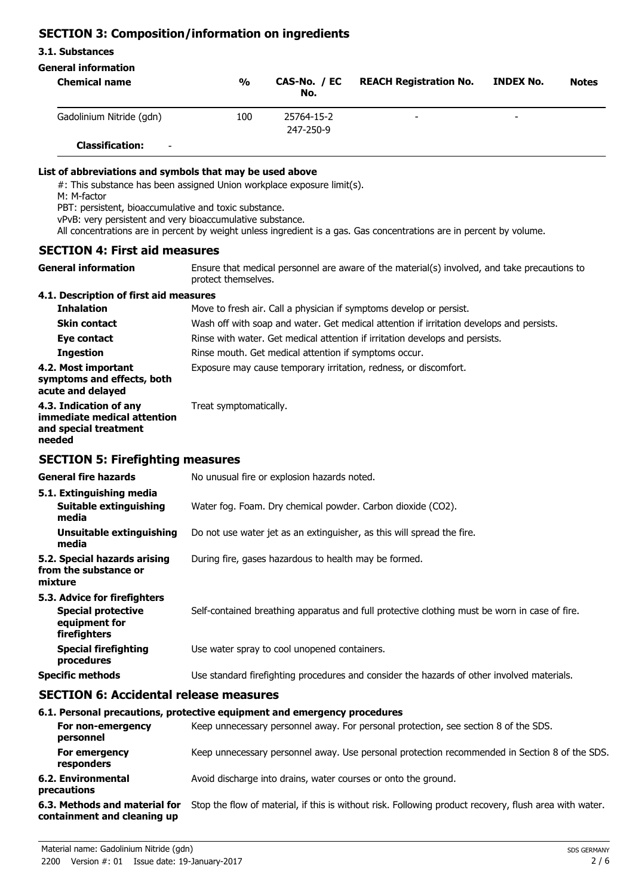# **SECTION 3: Composition/information on ingredients**

### **3.1. Substances**

# **General information**

| <b>Chemical name</b>                               | $\frac{0}{0}$ | CAS-No. / EC<br>No.     | <b>REACH Registration No.</b> | INDEX No. | <b>Notes</b> |
|----------------------------------------------------|---------------|-------------------------|-------------------------------|-----------|--------------|
| Gadolinium Nitride (gdn)                           | 100           | 25764-15-2<br>247-250-9 | $\overline{\phantom{0}}$      | -         |              |
| <b>Classification:</b><br>$\overline{\phantom{a}}$ |               |                         |                               |           |              |

#### **List of abbreviations and symbols that may be used above**

#: This substance has been assigned Union workplace exposure limit(s).

M: M-factor

PBT: persistent, bioaccumulative and toxic substance.

vPvB: very persistent and very bioaccumulative substance.

All concentrations are in percent by weight unless ingredient is a gas. Gas concentrations are in percent by volume.

# **SECTION 4: First aid measures**

Ensure that medical personnel are aware of the material(s) involved, and take precautions to protect themselves. **General information**

### **4.1. Description of first aid measures**

| <b>Inhalation</b>                                                                        | Move to fresh air. Call a physician if symptoms develop or persist.                      |
|------------------------------------------------------------------------------------------|------------------------------------------------------------------------------------------|
| <b>Skin contact</b>                                                                      | Wash off with soap and water. Get medical attention if irritation develops and persists. |
| Eye contact                                                                              | Rinse with water. Get medical attention if irritation develops and persists.             |
| <b>Ingestion</b>                                                                         | Rinse mouth. Get medical attention if symptoms occur.                                    |
| 4.2. Most important<br>symptoms and effects, both<br>acute and delayed                   | Exposure may cause temporary irritation, redness, or discomfort.                         |
| 4.3. Indication of any<br>immediate medical attention<br>and special treatment<br>needed | Treat symptomatically.                                                                   |

# **SECTION 5: Firefighting measures**

| <b>General fire hazards</b>                                                                | No unusual fire or explosion hazards noted.                                                   |
|--------------------------------------------------------------------------------------------|-----------------------------------------------------------------------------------------------|
| 5.1. Extinguishing media<br>Suitable extinguishing<br>media                                | Water fog. Foam. Dry chemical powder. Carbon dioxide (CO2).                                   |
| Unsuitable extinguishing<br>media                                                          | Do not use water jet as an extinguisher, as this will spread the fire.                        |
| 5.2. Special hazards arising<br>from the substance or<br>mixture                           | During fire, gases hazardous to health may be formed.                                         |
| 5.3. Advice for firefighters<br><b>Special protective</b><br>equipment for<br>firefighters | Self-contained breathing apparatus and full protective clothing must be worn in case of fire. |
| <b>Special firefighting</b><br>procedures                                                  | Use water spray to cool unopened containers.                                                  |
| <b>Specific methods</b>                                                                    | Use standard firefighting procedures and consider the hazards of other involved materials.    |

# **SECTION 6: Accidental release measures**

#### **6.1. Personal precautions, protective equipment and emergency procedures**

| For non-emergency<br>personnel                               | Keep unnecessary personnel away. For personal protection, see section 8 of the SDS.                    |
|--------------------------------------------------------------|--------------------------------------------------------------------------------------------------------|
| For emergency<br>responders                                  | Keep unnecessary personnel away. Use personal protection recommended in Section 8 of the SDS.          |
| 6.2. Environmental<br>precautions                            | Avoid discharge into drains, water courses or onto the ground.                                         |
| 6.3. Methods and material for<br>containment and cleaning up | Stop the flow of material, if this is without risk. Following product recovery, flush area with water. |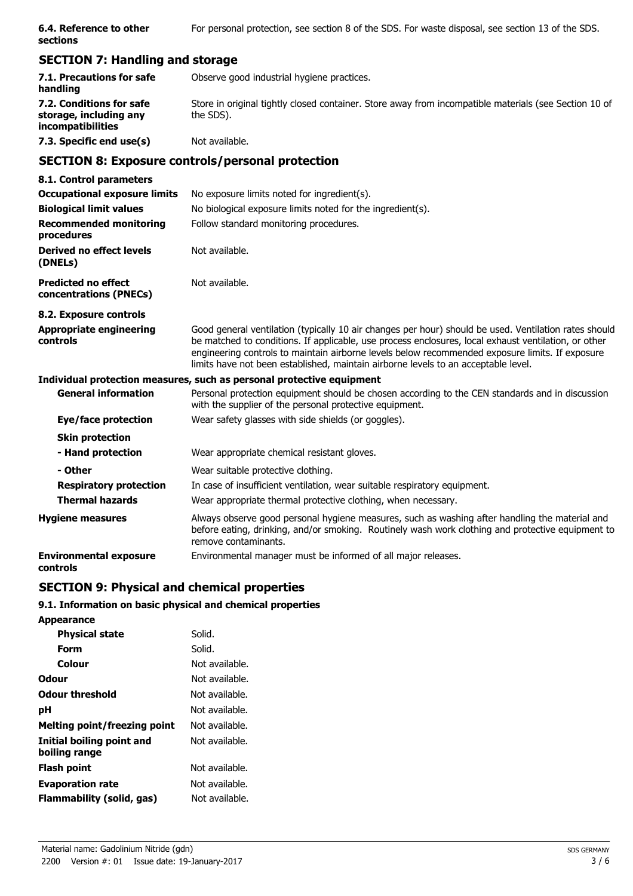| 6.4. Reference to other<br>sections                                            | For personal protection, see section 8 of the SDS. For waste disposal, see section 13 of the SDS.                                                                                                                                                                                                                                                                                                      |
|--------------------------------------------------------------------------------|--------------------------------------------------------------------------------------------------------------------------------------------------------------------------------------------------------------------------------------------------------------------------------------------------------------------------------------------------------------------------------------------------------|
| <b>SECTION 7: Handling and storage</b>                                         |                                                                                                                                                                                                                                                                                                                                                                                                        |
| 7.1. Precautions for safe<br>handling                                          | Observe good industrial hygiene practices.                                                                                                                                                                                                                                                                                                                                                             |
| 7.2. Conditions for safe<br>storage, including any<br><i>incompatibilities</i> | Store in original tightly closed container. Store away from incompatible materials (see Section 10 of<br>the SDS).                                                                                                                                                                                                                                                                                     |
| 7.3. Specific end use(s)                                                       | Not available.                                                                                                                                                                                                                                                                                                                                                                                         |
|                                                                                | <b>SECTION 8: Exposure controls/personal protection</b>                                                                                                                                                                                                                                                                                                                                                |
| 8.1. Control parameters                                                        |                                                                                                                                                                                                                                                                                                                                                                                                        |
| <b>Occupational exposure limits</b>                                            | No exposure limits noted for ingredient(s).                                                                                                                                                                                                                                                                                                                                                            |
| <b>Biological limit values</b>                                                 | No biological exposure limits noted for the ingredient(s).                                                                                                                                                                                                                                                                                                                                             |
| <b>Recommended monitoring</b><br>procedures                                    | Follow standard monitoring procedures.                                                                                                                                                                                                                                                                                                                                                                 |
| Derived no effect levels<br>(DNELs)                                            | Not available.                                                                                                                                                                                                                                                                                                                                                                                         |
| <b>Predicted no effect</b><br>concentrations (PNECs)                           | Not available.                                                                                                                                                                                                                                                                                                                                                                                         |
| 8.2. Exposure controls                                                         |                                                                                                                                                                                                                                                                                                                                                                                                        |
| <b>Appropriate engineering</b><br>controls                                     | Good general ventilation (typically 10 air changes per hour) should be used. Ventilation rates should<br>be matched to conditions. If applicable, use process enclosures, local exhaust ventilation, or other<br>engineering controls to maintain airborne levels below recommended exposure limits. If exposure<br>limits have not been established, maintain airborne levels to an acceptable level. |
|                                                                                | Individual protection measures, such as personal protective equipment                                                                                                                                                                                                                                                                                                                                  |
| <b>General information</b>                                                     | Personal protection equipment should be chosen according to the CEN standards and in discussion<br>with the supplier of the personal protective equipment.                                                                                                                                                                                                                                             |
| Eye/face protection                                                            | Wear safety glasses with side shields (or goggles).                                                                                                                                                                                                                                                                                                                                                    |
| <b>Skin protection</b>                                                         |                                                                                                                                                                                                                                                                                                                                                                                                        |
| - Hand protection                                                              | Wear appropriate chemical resistant gloves.                                                                                                                                                                                                                                                                                                                                                            |
| - Other                                                                        | Wear suitable protective clothing.                                                                                                                                                                                                                                                                                                                                                                     |
| <b>Respiratory protection</b>                                                  | In case of insufficient ventilation, wear suitable respiratory equipment.                                                                                                                                                                                                                                                                                                                              |
| <b>Thermal hazards</b>                                                         | Wear appropriate thermal protective clothing, when necessary.                                                                                                                                                                                                                                                                                                                                          |
| <b>Hygiene measures</b>                                                        | Always observe good personal hygiene measures, such as washing after handling the material and<br>before eating, drinking, and/or smoking. Routinely wash work clothing and protective equipment to<br>remove contaminants.                                                                                                                                                                            |
| <b>Environmental exposure</b><br>controls                                      | Environmental manager must be informed of all major releases.                                                                                                                                                                                                                                                                                                                                          |

# **SECTION 9: Physical and chemical properties**

# **9.1. Information on basic physical and chemical properties**

| <b>Appearance</b>                          |                |
|--------------------------------------------|----------------|
| <b>Physical state</b>                      | Solid.         |
| Form                                       | Solid.         |
| Colour                                     | Not available. |
| <b>Odour</b>                               | Not available. |
| <b>Odour threshold</b>                     | Not available. |
| рH                                         | Not available. |
| <b>Melting point/freezing point</b>        | Not available. |
| Initial boiling point and<br>boiling range | Not available. |
| <b>Flash point</b>                         | Not available. |
| <b>Evaporation rate</b>                    | Not available. |
| Flammability (solid, gas)                  | Not available. |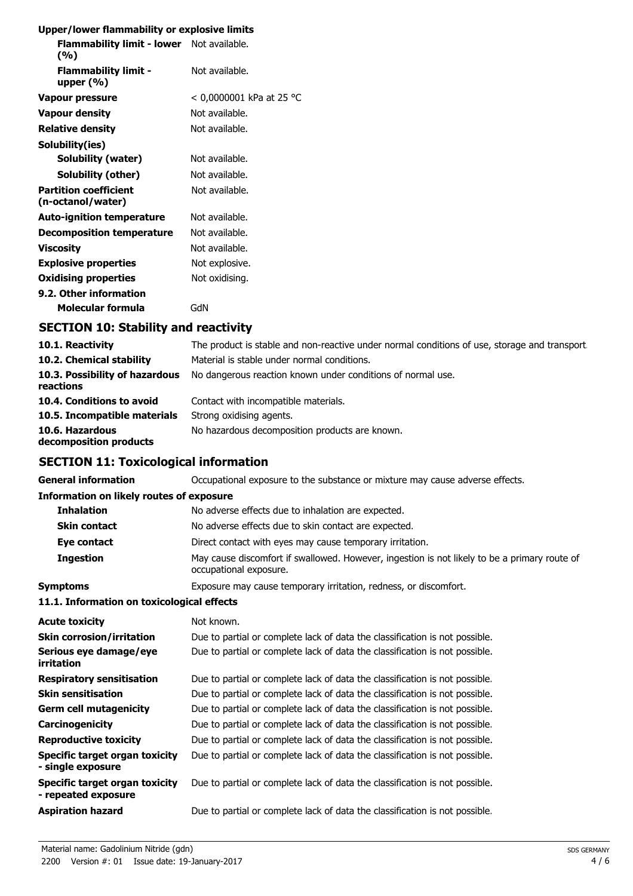# **Upper/lower flammability or explosive limits**

| <b>Flammability limit - lower</b> Not available.<br>(%) |                          |
|---------------------------------------------------------|--------------------------|
| <b>Flammability limit -</b><br>upper $(%)$              | Not available.           |
| Vapour pressure                                         | < 0,0000001 kPa at 25 °C |
| <b>Vapour density</b>                                   | Not available.           |
| <b>Relative density</b>                                 | Not available.           |
| Solubility(ies)                                         |                          |
| Solubility (water)                                      | Not available.           |
| Solubility (other)                                      | Not available.           |
| <b>Partition coefficient</b><br>(n-octanol/water)       | Not available.           |
| <b>Auto-ignition temperature</b>                        | Not available.           |
| <b>Decomposition temperature</b>                        | Not available.           |
| <b>Viscosity</b>                                        | Not available.           |
| <b>Explosive properties</b>                             | Not explosive.           |
| <b>Oxidising properties</b>                             | Not oxidising.           |
| 9.2. Other information                                  |                          |
| Molecular formula                                       | GdN                      |
|                                                         |                          |

# **SECTION 10: Stability and reactivity**

| 10.1. Reactivity                            | The product is stable and non-reactive under normal conditions of use, storage and transport |
|---------------------------------------------|----------------------------------------------------------------------------------------------|
| 10.2. Chemical stability                    | Material is stable under normal conditions.                                                  |
| 10.3. Possibility of hazardous<br>reactions | No dangerous reaction known under conditions of normal use.                                  |
| 10.4. Conditions to avoid                   | Contact with incompatible materials.                                                         |
| 10.5. Incompatible materials                | Strong oxidising agents.                                                                     |
| 10.6. Hazardous<br>decomposition products   | No hazardous decomposition products are known.                                               |

**General information CCCUPATION** Occupational exposure to the substance or mixture may cause adverse effects.

# **SECTION 11: Toxicological information**

| <b>Information on likely routes of exposure</b>              |                                                                                                                        |
|--------------------------------------------------------------|------------------------------------------------------------------------------------------------------------------------|
| <b>Inhalation</b>                                            | No adverse effects due to inhalation are expected.                                                                     |
| <b>Skin contact</b>                                          | No adverse effects due to skin contact are expected.                                                                   |
| Eye contact                                                  | Direct contact with eyes may cause temporary irritation.                                                               |
| <b>Ingestion</b>                                             | May cause discomfort if swallowed. However, ingestion is not likely to be a primary route of<br>occupational exposure. |
| <b>Symptoms</b>                                              | Exposure may cause temporary irritation, redness, or discomfort.                                                       |
| 11.1. Information on toxicological effects                   |                                                                                                                        |
| <b>Acute toxicity</b>                                        | Not known.                                                                                                             |
| <b>Skin corrosion/irritation</b>                             | Due to partial or complete lack of data the classification is not possible.                                            |
| Serious eye damage/eye<br>irritation                         | Due to partial or complete lack of data the classification is not possible.                                            |
| <b>Respiratory sensitisation</b>                             | Due to partial or complete lack of data the classification is not possible.                                            |
| <b>Skin sensitisation</b>                                    | Due to partial or complete lack of data the classification is not possible.                                            |
| <b>Germ cell mutagenicity</b>                                | Due to partial or complete lack of data the classification is not possible.                                            |
| Carcinogenicity                                              | Due to partial or complete lack of data the classification is not possible.                                            |
| <b>Reproductive toxicity</b>                                 | Due to partial or complete lack of data the classification is not possible.                                            |
| <b>Specific target organ toxicity</b><br>- single exposure   | Due to partial or complete lack of data the classification is not possible.                                            |
| <b>Specific target organ toxicity</b><br>- repeated exposure | Due to partial or complete lack of data the classification is not possible.                                            |
| <b>Aspiration hazard</b>                                     | Due to partial or complete lack of data the classification is not possible.                                            |
|                                                              |                                                                                                                        |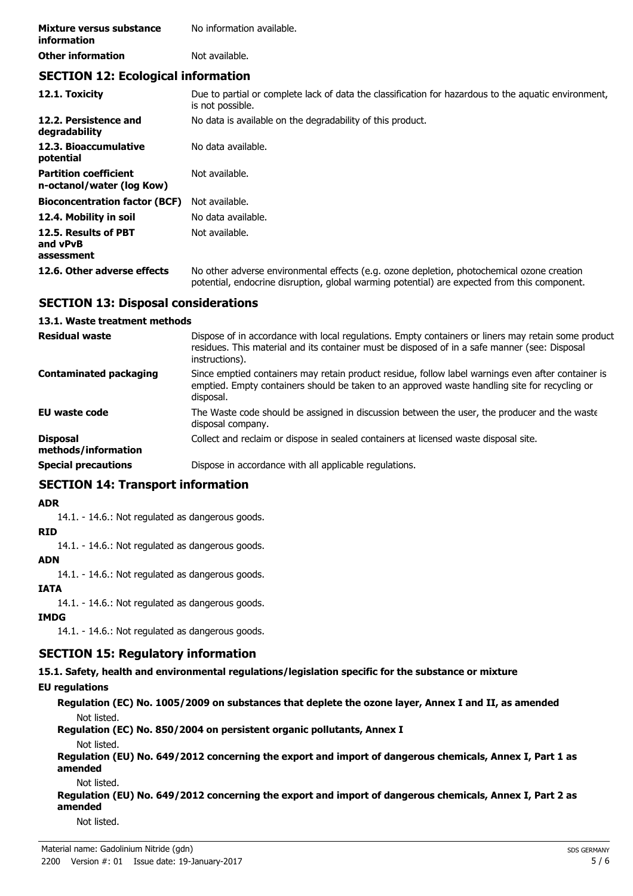| Mixture versus substance | No information available. |  |
|--------------------------|---------------------------|--|
| <i>information</i>       |                           |  |
| <b>Other information</b> | Not available.            |  |

# **SECTION 12: Ecological information**

| 12.1. Toxicity                                            | Due to partial or complete lack of data the classification for hazardous to the aquatic environment,<br>is not possible.                                                                   |
|-----------------------------------------------------------|--------------------------------------------------------------------------------------------------------------------------------------------------------------------------------------------|
| 12.2. Persistence and<br>degradability                    | No data is available on the degradability of this product.                                                                                                                                 |
| 12.3. Bioaccumulative<br>potential                        | No data available.                                                                                                                                                                         |
| <b>Partition coefficient</b><br>n-octanol/water (log Kow) | Not available.                                                                                                                                                                             |
| <b>Bioconcentration factor (BCF)</b>                      | Not available.                                                                                                                                                                             |
| 12.4. Mobility in soil                                    | No data available.                                                                                                                                                                         |
| 12.5. Results of PBT<br>and vPvB<br>assessment            | Not available.                                                                                                                                                                             |
| 12.6. Other adverse effects                               | No other adverse environmental effects (e.g. ozone depletion, photochemical ozone creation<br>potential, endocrine disruption, global warming potential) are expected from this component. |

# **SECTION 13: Disposal considerations**

#### **13.1. Waste treatment methods**

| <b>Residual waste</b>                  | Dispose of in accordance with local regulations. Empty containers or liners may retain some product<br>residues. This material and its container must be disposed of in a safe manner (see: Disposal<br>instructions). |
|----------------------------------------|------------------------------------------------------------------------------------------------------------------------------------------------------------------------------------------------------------------------|
| <b>Contaminated packaging</b>          | Since emptied containers may retain product residue, follow label warnings even after container is<br>emptied. Empty containers should be taken to an approved waste handling site for recycling or<br>disposal.       |
| <b>EU waste code</b>                   | The Waste code should be assigned in discussion between the user, the producer and the waste<br>disposal company.                                                                                                      |
| <b>Disposal</b><br>methods/information | Collect and reclaim or dispose in sealed containers at licensed waste disposal site.                                                                                                                                   |
| <b>Special precautions</b>             | Dispose in accordance with all applicable regulations.                                                                                                                                                                 |

# **SECTION 14: Transport information**

#### **ADR**

14.1. - 14.6.: Not regulated as dangerous goods.

### **RID**

14.1. - 14.6.: Not regulated as dangerous goods.

### **ADN**

14.1. - 14.6.: Not regulated as dangerous goods.

# **IATA**

14.1. - 14.6.: Not regulated as dangerous goods.

### **IMDG**

14.1. - 14.6.: Not regulated as dangerous goods.

# **SECTION 15: Regulatory information**

**15.1. Safety, health and environmental regulations/legislation specific for the substance or mixture**

### **EU regulations**

**Regulation (EC) No. 1005/2009 on substances that deplete the ozone layer, Annex I and II, as amended** Not listed.

**Regulation (EC) No. 850/2004 on persistent organic pollutants, Annex I**

# Not listed.

**Regulation (EU) No. 649/2012 concerning the export and import of dangerous chemicals, Annex I, Part 1 as amended**

#### Not listed.

**Regulation (EU) No. 649/2012 concerning the export and import of dangerous chemicals, Annex I, Part 2 as amended**

Not listed.